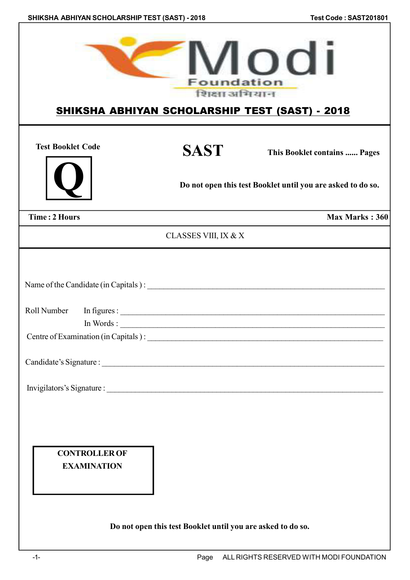|                                                             | Modi<br>SHIKSHA ABHIYAN SCHOLARSHIP TEST (SAST) - 2018                                                               |
|-------------------------------------------------------------|----------------------------------------------------------------------------------------------------------------------|
| <b>SAST</b>                                                 | This Booklet contains  Pages                                                                                         |
|                                                             | Do not open this test Booklet until you are asked to do so.                                                          |
|                                                             | Max Marks: 360                                                                                                       |
|                                                             |                                                                                                                      |
|                                                             | <u> 2002 - 2003 - 2003 - 2003 - 2003 - 2003 - 2003 - 2003 - 2003 - 2004 - 2005 - 2006 - 2007 - 2008 - 2008 - 200</u> |
| Do not open this test Booklet until you are asked to do so. |                                                                                                                      |
|                                                             | <b>Foundation</b><br>शिक्षा अभियान<br>CLASSES VIII, IX & X<br>Name of the Candidate (in Capitals):                   |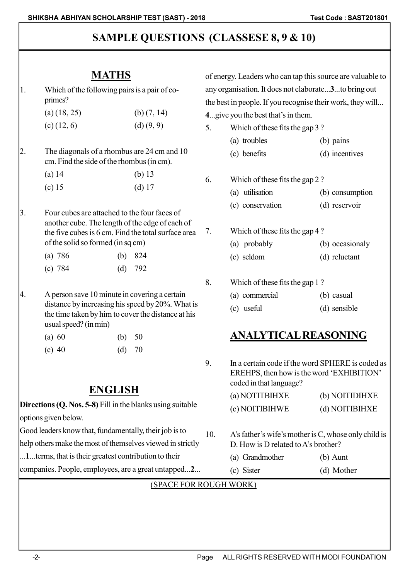# **SAMPLE QUESTIONS (CLASSESE 8, 9 & 10)**

# **MATHS**

1. Which of the following pairs is a pair of coprimes?

| $(a)$ (18, 25) | (b) $(7, 14)$ |
|----------------|---------------|
| $(c)$ (12, 6)  | (d) (9, 9)    |

2. The diagonals of a rhombus are 24 cm and 10 cm. Find the side of the rhombus (in cm).

| $(a)$ 14 | (b) $13$ |
|----------|----------|
| (c) $15$ | $(d)$ 17 |

3. Four cubes are attached to the four faces of another cube. The length of the edge of each of the five cubes is 6 cm. Find the total surface area of the solid so formed (in sq cm)

| (a) $786$ | (b) $824$ |
|-----------|-----------|
| (c) $784$ | (d) $792$ |

4. A person save 10 minute in covering a certain distance by increasing his speed by 20%. What is the time taken by him to cover the distance at his usual speed? (in min)

| (a) 60 |  | (b) $50$ |  |
|--------|--|----------|--|
|        |  |          |  |

(c) 40 (d) 70

## **ENGLISH**

**Directions (Q. Nos. 5-8)** Fill in the blanks using suitable options given below. Good leaders know that, fundamentally, their job is to help others make the most of themselves viewed in strictly

...**1**...terms, that is their greatest contribution to their

companies. People, employees, are a great untapped...**2**...

of energy. Leaders who can tap this source are valuable to any organisation. It does not elaborate...**3**...to bring out the best in people. If you recognise their work, they will...

- **4**...give you the best that's in them.
- 5. Which of these fits the gap 3 ?
	- (a) troubles (b) pains (c) benefits (d) incentives
- 6. Which of these fits the gap 2 ? (a) utilisation (b) consumption (c) conservation (d) reservoir
- 7. Which of these fits the gap 4 ? (a) probably (b) occasionaly (c) seldom (d) reluctant
- 8. Which of these fits the gap 1 ?
	- (a) commercial (b) casual
	- (c) useful (d) sensible

# **ANALYTICAL REASONING**

9. In a certain code if the word SPHERE is coded as EREHPS, then how is the word 'EXHIBITION' coded in that language?

| (a) NOTITBIHXE | (b) NOITIDIHXE |
|----------------|----------------|
| (c) NOITIBIHWE | (d) NOITIBIHXE |

- 10. A's father's wife's mother is C, whose only child is D. How is D related to A's brother?
	- (a) Grandmother (b) Aunt (c) Sister (d) Mother

#### (SPACE FOR ROUGH WORK)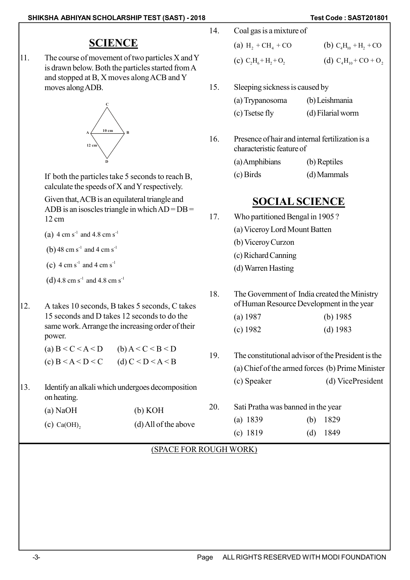### **SCIENCE**

11. The course of movement of two particles X and Y is drawn below. Both the particles started from A and stopped at B, X moves along ACB and Y moves along ADB.



If both the particles take 5 seconds to reach B, calculate the speeds of X and Y respectively.

Given that, ACB is an equilateral triangle and ADB is an isoscles triangle in which  $AD = DB =$ 12 cm

- (a)  $4 \text{ cm s}^{-1}$  and  $4.8 \text{ cm s}^{-1}$
- (b)  $48 \text{ cm s}^{-1}$  and  $4 \text{ cm s}^{-1}$
- (c)  $4 \text{ cm s}^{-1}$  and  $4 \text{ cm s}^{-1}$
- (d) 4.8 cm s<sup>-1</sup> and 4.8 cm s<sup>-1</sup>
- 12. A takes 10 seconds, B takes 5 seconds, C takes 15 seconds and D takes 12 seconds to do the same work. Arrange the increasing order of their power.

(a) 
$$
B < C < A < D
$$
 (b)  $A < C < B < D$   
(c)  $B < A < D < C$  (d)  $C < D < A < B$ 

13. Identify an alkali which undergoes decomposition on heating.

| $(a)$ NaOH    | (b) KOH                |
|---------------|------------------------|
| $(c)$ Ca(OH), | $(d)$ All of the above |

| 14. | Coal gas is a mixture of |                                       |  |
|-----|--------------------------|---------------------------------------|--|
|     | (a) $H_2 + CH_4 + CO$    | (b) $C_4H_{10} + H_2 + CO$            |  |
|     | (c) $C_2H_6 + H_2 + O_2$ | (d) $C_4H_{10}$ + CO + O <sub>2</sub> |  |

15. Sleeping sickness is caused by

| (a) Trypanosoma | (b) Leishmania    |
|-----------------|-------------------|
| (c) Tsetse fly  | (d) Filarial worm |

16. Presence of hair and internal fertilization is a characteristic feature of

| (a) Amphibians | (b) Reptiles |
|----------------|--------------|
| $(c)$ Birds    | (d) Mammals  |

### **SOCIAL SCIENCE**

- 17. Who partitioned Bengal in 1905 ?
	- (a) Viceroy Lord Mount Batten
	- (b) Viceroy Curzon
	- (c) Richard Canning
	- (d) Warren Hasting
- 18. The Government of India created the Ministry of Human Resource Development in the year
	- (a) 1987 (b) 1985
	- (c) 1982 (d) 1983
- 19. The constitutional advisor of the President is the (a) Chief of the armed forces (b) Prime Minister (c) Speaker (d) VicePresident
- 20. Sati Pratha was banned in the year (a) 1839 (b) 1829 (c) 1819 (d) 1849

#### (SPACE FOR ROUGH WORK)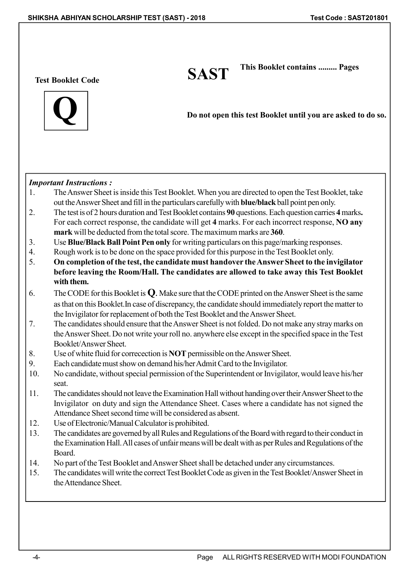**Test Booklet Code SAST**



**Do not open this test Booklet until you are asked to do so.**

 **This Booklet contains ......... Pages**

#### *Important Instructions :*

- 1. The Answer Sheet is inside this Test Booklet. When you are directed to open the Test Booklet, take out the Answer Sheet and fill in the particulars carefully with **blue/black** ball point pen only.
- 2. The test is of 2 hours duration and Test Booklet contains **90** questions. Each question carries **4** marks**.** For each correct response, the candidate will get **4** marks. For each incorrect response, **NO any mark** will be deducted from the total score. The maximum marks are **360**.
- 3. Use **Blue/Black Ball Point Pen only** for writing particulars on this page/marking responses.
- 4. Rough work is to be done on the space provided for this purpose in the Test Booklet only.
- 5. **On completion of the test, the candidate must handover the Answer Sheet to the invigilator before leaving the Room/Hall. The candidates are allowed to take away this Test Booklet with them.**
- 6. The CODE for this Booklet is **Q**. Make sure that the CODE printed on the Answer Sheet is the same as that on this Booklet.In case of discrepancy, the candidate should immediately report the matter to the Invigilator for replacement of both the Test Booklet and the Answer Sheet.
- 7. The candidates should ensure that the Answer Sheet is not folded. Do not make any stray marks on the Answer Sheet. Do not write your roll no. anywhere else except in the specified space in the Test Booklet/Answer Sheet.
- 8. Use of white fluid for correcection is **NOT** permissible on the Answer Sheet.
- 9. Each candidate must show on demand his/her Admit Card to the Invigilator.
- 10. No candidate, without special permission of the Superintendent or Invigilator, would leave his/her seat.
- 11. The candidates should not leave the Examination Hall without handing over their Answer Sheet to the Invigilator on duty and sign the Attendance Sheet. Cases where a candidate has not signed the Attendance Sheet second time will be considered as absent.
- 12. Use of Electronic/Manual Calculator is prohibited.
- 13. The candidates are governed by all Rules and Regulations of the Board with regard to their conduct in the Examination Hall. All cases of unfair means will be dealt with as per Rules and Regulations of the Board.
- 14. No part of the Test Booklet and Answer Sheet shall be detached under any circumstances.
- 15. The candidates will write the correct Test Booklet Code as given in the Test Booklet/Answer Sheet in the Attendance Sheet.